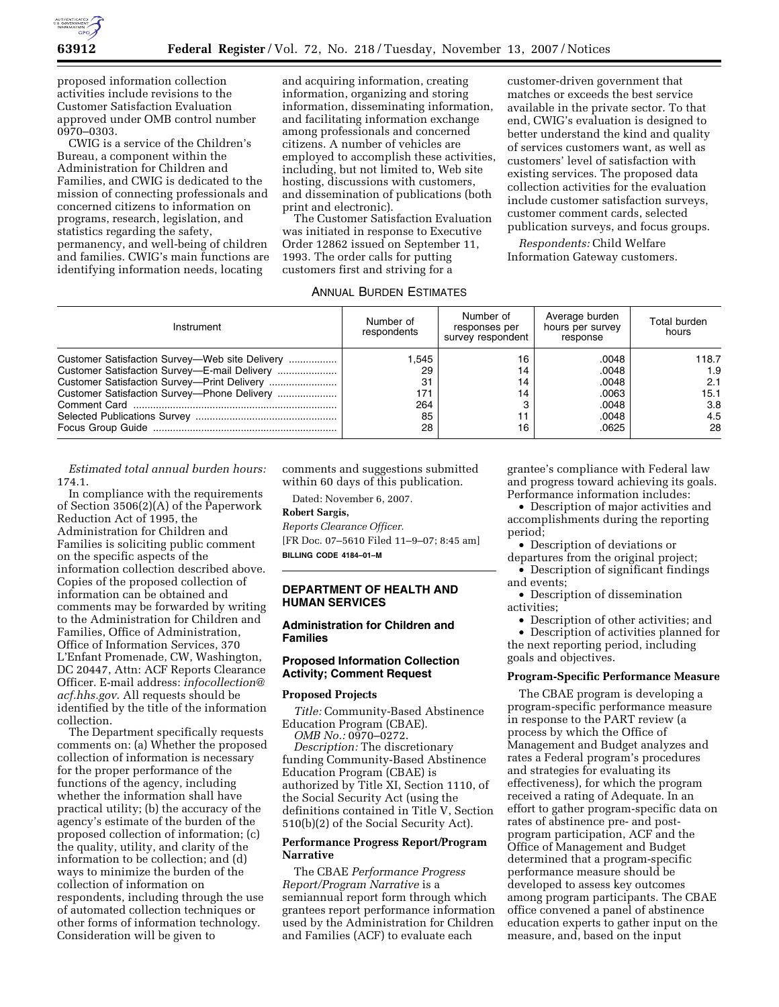

proposed information collection activities include revisions to the Customer Satisfaction Evaluation approved under OMB control number 0970–0303.

CWIG is a service of the Children's Bureau, a component within the Administration for Children and Families, and CWIG is dedicated to the mission of connecting professionals and concerned citizens to information on programs, research, legislation, and statistics regarding the safety, permanency, and well-being of children and families. CWIG's main functions are identifying information needs, locating

and acquiring information, creating information, organizing and storing information, disseminating information, and facilitating information exchange among professionals and concerned citizens. A number of vehicles are employed to accomplish these activities, including, but not limited to, Web site hosting, discussions with customers, and dissemination of publications (both print and electronic).

The Customer Satisfaction Evaluation was initiated in response to Executive Order 12862 issued on September 11, 1993. The order calls for putting customers first and striving for a

## ANNUAL BURDEN ESTIMATES

customer-driven government that matches or exceeds the best service available in the private sector. To that end, CWIG's evaluation is designed to better understand the kind and quality of services customers want, as well as customers' level of satisfaction with existing services. The proposed data collection activities for the evaluation include customer satisfaction surveys, customer comment cards, selected publication surveys, and focus groups.

*Respondents:* Child Welfare Information Gateway customers.

| Instrument                                                                                     | Number of<br>respondents                    | Number of<br>responses per<br>survey respondent | Average burden<br>hours per survey<br>response              | Total burden<br>hours                           |
|------------------------------------------------------------------------------------------------|---------------------------------------------|-------------------------------------------------|-------------------------------------------------------------|-------------------------------------------------|
| Customer Satisfaction Survey-Web site Delivery<br>Customer Satisfaction Survey-E-mail Delivery | 1.545<br>29<br>31<br>171<br>264<br>85<br>28 | 16<br>14<br>14<br>14<br>16                      | .0048<br>.0048<br>.0048<br>.0063<br>.0048<br>.0048<br>.0625 | 118.7<br>1.9<br>2.1<br>15.1<br>3.8<br>4.5<br>28 |

*Estimated total annual burden hours:*  174.1.

In compliance with the requirements of Section 3506(2)(A) of the Paperwork Reduction Act of 1995, the Administration for Children and Families is soliciting public comment on the specific aspects of the information collection described above. Copies of the proposed collection of information can be obtained and comments may be forwarded by writing to the Administration for Children and Families, Office of Administration, Office of Information Services, 370 L'Enfant Promenade, CW, Washington, DC 20447, Attn: ACF Reports Clearance Officer. E-mail address: *infocollection@ acf.hhs.gov*. All requests should be identified by the title of the information collection.

The Department specifically requests comments on: (a) Whether the proposed collection of information is necessary for the proper performance of the functions of the agency, including whether the information shall have practical utility; (b) the accuracy of the agency's estimate of the burden of the proposed collection of information; (c) the quality, utility, and clarity of the information to be collection; and (d) ways to minimize the burden of the collection of information on respondents, including through the use of automated collection techniques or other forms of information technology. Consideration will be given to

comments and suggestions submitted within 60 days of this publication.

Dated: November 6, 2007.

#### **Robert Sargis,**

*Reports Clearance Officer.*  [FR Doc. 07–5610 Filed 11–9–07; 8:45 am] **BILLING CODE 4184–01–M** 

## **DEPARTMENT OF HEALTH AND HUMAN SERVICES**

# **Administration for Children and Families**

### **Proposed Information Collection Activity; Comment Request**

#### **Proposed Projects**

*Title:* Community-Based Abstinence Education Program (CBAE).

*OMB No.:* 0970–0272. *Description:* The discretionary funding Community-Based Abstinence Education Program (CBAE) is authorized by Title XI, Section 1110, of the Social Security Act (using the definitions contained in Title V, Section 510(b)(2) of the Social Security Act).

# **Performance Progress Report/Program Narrative**

The CBAE *Performance Progress Report/Program Narrative* is a semiannual report form through which grantees report performance information used by the Administration for Children and Families (ACF) to evaluate each

grantee's compliance with Federal law and progress toward achieving its goals. Performance information includes:

• Description of major activities and accomplishments during the reporting period;

• Description of deviations or departures from the original project;

• Description of significant findings and events;

• Description of dissemination activities;

• Description of other activities; and

• Description of activities planned for the next reporting period, including goals and objectives.

### **Program-Specific Performance Measure**

The CBAE program is developing a program-specific performance measure in response to the PART review (a process by which the Office of Management and Budget analyzes and rates a Federal program's procedures and strategies for evaluating its effectiveness), for which the program received a rating of Adequate. In an effort to gather program-specific data on rates of abstinence pre- and postprogram participation, ACF and the Office of Management and Budget determined that a program-specific performance measure should be developed to assess key outcomes among program participants. The CBAE office convened a panel of abstinence education experts to gather input on the measure, and, based on the input